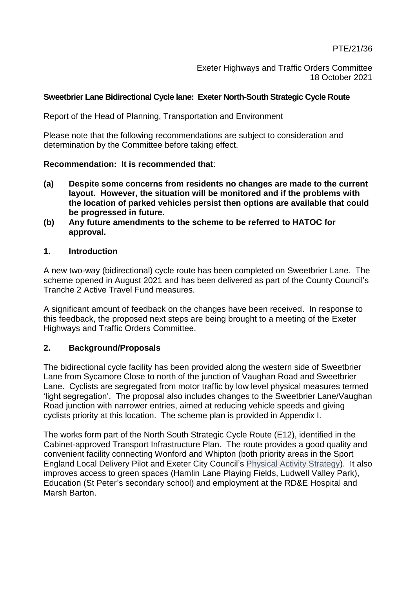Exeter Highways and Traffic Orders Committee 18 October 2021

#### **Sweetbrier Lane Bidirectional Cycle lane: Exeter North-South Strategic Cycle Route**

Report of the Head of Planning, Transportation and Environment

Please note that the following recommendations are subject to consideration and determination by the Committee before taking effect.

#### **Recommendation: It is recommended that**:

- **(a) Despite some concerns from residents no changes are made to the current layout. However, the situation will be monitored and if the problems with the location of parked vehicles persist then options are available that could be progressed in future.**
- **(b) Any future amendments to the scheme to be referred to HATOC for approval.**

### **1. Introduction**

A new two-way (bidirectional) cycle route has been completed on Sweetbrier Lane. The scheme opened in August 2021 and has been delivered as part of the County Council's Tranche 2 Active Travel Fund measures.

A significant amount of feedback on the changes have been received. In response to this feedback, the proposed next steps are being brought to a meeting of the Exeter Highways and Traffic Orders Committee.

### **2. Background/Proposals**

The bidirectional cycle facility has been provided along the western side of Sweetbrier Lane from Sycamore Close to north of the junction of Vaughan Road and Sweetbrier Lane. Cyclists are segregated from motor traffic by low level physical measures termed 'light segregation'. The proposal also includes changes to the Sweetbrier Lane/Vaughan Road junction with narrower entries, aimed at reducing vehicle speeds and giving cyclists priority at this location. The scheme plan is provided in Appendix I.

The works form part of the North South Strategic Cycle Route (E12), identified in the Cabinet-approved Transport Infrastructure Plan. The route provides a good quality and convenient facility connecting Wonford and Whipton (both priority areas in the Sport England Local Delivery Pilot and Exeter City Council's [Physical Activity Strategy\)](https://devoncc.sharepoint.com/sites/TransportPlanning/Shared%20Documents/Multi%20Area/Department%20for%20Transport/ATF/City%20Council’s%20Physical%20Activity%20Strategy). It also improves access to green spaces (Hamlin Lane Playing Fields, Ludwell Valley Park), Education (St Peter's secondary school) and employment at the RD&E Hospital and Marsh Barton.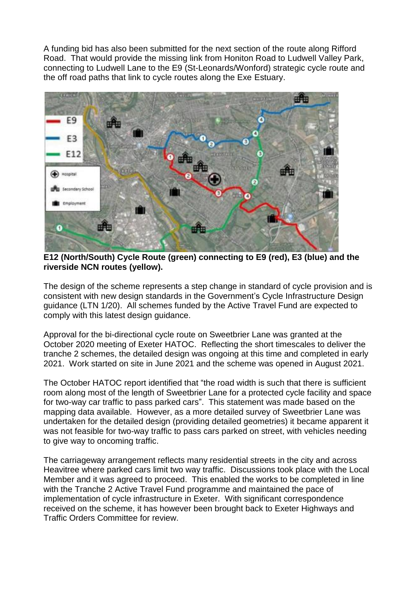A funding bid has also been submitted for the next section of the route along Rifford Road. That would provide the missing link from Honiton Road to Ludwell Valley Park, connecting to Ludwell Lane to the E9 (St-Leonards/Wonford) strategic cycle route and the off road paths that link to cycle routes along the Exe Estuary.



**E12 (North/South) Cycle Route (green) connecting to E9 (red), E3 (blue) and the riverside NCN routes (yellow).**

The design of the scheme represents a step change in standard of cycle provision and is consistent with new design standards in the Government's Cycle Infrastructure Design guidance (LTN 1/20). All schemes funded by the Active Travel Fund are expected to comply with this latest design guidance.

Approval for the bi-directional cycle route on Sweetbrier Lane was granted at the October 2020 meeting of Exeter HATOC. Reflecting the short timescales to deliver the tranche 2 schemes, the detailed design was ongoing at this time and completed in early 2021. Work started on site in June 2021 and the scheme was opened in August 2021.

The October HATOC report identified that "the road width is such that there is sufficient room along most of the length of Sweetbrier Lane for a protected cycle facility and space for two-way car traffic to pass parked cars". This statement was made based on the mapping data available. However, as a more detailed survey of Sweetbrier Lane was undertaken for the detailed design (providing detailed geometries) it became apparent it was not feasible for two-way traffic to pass cars parked on street, with vehicles needing to give way to oncoming traffic.

The carriageway arrangement reflects many residential streets in the city and across Heavitree where parked cars limit two way traffic. Discussions took place with the Local Member and it was agreed to proceed. This enabled the works to be completed in line with the Tranche 2 Active Travel Fund programme and maintained the pace of implementation of cycle infrastructure in Exeter. With significant correspondence received on the scheme, it has however been brought back to Exeter Highways and Traffic Orders Committee for review.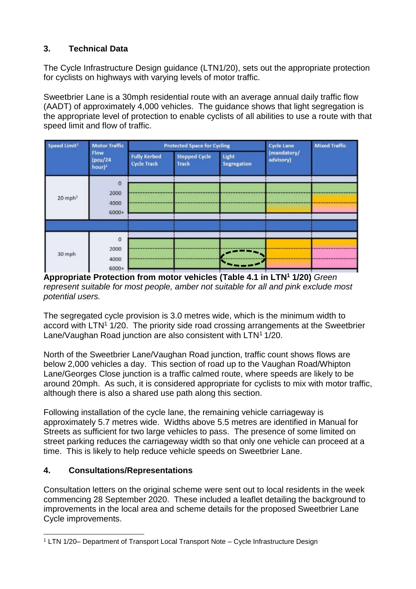# **3. Technical Data**

The Cycle Infrastructure Design guidance (LTN1/20), sets out the appropriate protection for cyclists on highways with varying levels of motor traffic.

Sweetbrier Lane is a 30mph residential route with an average annual daily traffic flow (AADT) of approximately 4,000 vehicles. The guidance shows that light segregation is the appropriate level of protection to enable cyclists of all abilities to use a route with that speed limit and flow of traffic.

| Speed Limit <sup>1</sup> | <b>Motor Traffic</b><br>Flow<br>(pcu/24<br>hour $)^2$ | <b>Protected Space for Cycling</b>        |                                      |                             | <b>Cycle Lane</b>        | <b>Mixed Traffic</b> |
|--------------------------|-------------------------------------------------------|-------------------------------------------|--------------------------------------|-----------------------------|--------------------------|----------------------|
|                          |                                                       | <b>Fully Kerbed</b><br><b>Cycle Track</b> | <b>Stepped Cycle</b><br><b>Track</b> | Light<br><b>Segregation</b> | (mandatory/<br>advisory) |                      |
| $20$ mph <sup>3</sup>    | $\Omega$<br>2000<br>4000<br>6000+                     |                                           |                                      |                             |                          |                      |
| 30 mph                   | $\circ$<br>2000<br>4000<br>6000+                      |                                           |                                      |                             |                          |                      |

**Appropriate Protection from motor vehicles (Table 4.1 in LTN<sup>1</sup> 1/20)** *Green represent suitable for most people, amber not suitable for all and pink exclude most potential users.*

The segregated cycle provision is 3.0 metres wide, which is the minimum width to accord with LTN<sup>1</sup> 1/20. The priority side road crossing arrangements at the Sweetbrier Lane/Vaughan Road junction are also consistent with LTN<sup>1</sup> 1/20.

North of the Sweetbrier Lane/Vaughan Road junction, traffic count shows flows are below 2,000 vehicles a day. This section of road up to the Vaughan Road/Whipton Lane/Georges Close junction is a traffic calmed route, where speeds are likely to be around 20mph. As such, it is considered appropriate for cyclists to mix with motor traffic, although there is also a shared use path along this section.

Following installation of the cycle lane, the remaining vehicle carriageway is approximately 5.7 metres wide. Widths above 5.5 metres are identified in Manual for Streets as sufficient for two large vehicles to pass. The presence of some limited on street parking reduces the carriageway width so that only one vehicle can proceed at a time. This is likely to help reduce vehicle speeds on Sweetbrier Lane.

# **4. Consultations/Representations**

Consultation letters on the original scheme were sent out to local residents in the week commencing 28 September 2020. These included a leaflet detailing the background to improvements in the local area and scheme details for the proposed Sweetbrier Lane Cycle improvements.

l <sup>1</sup> LTN 1/20– Department of Transport Local Transport Note – Cycle Infrastructure Design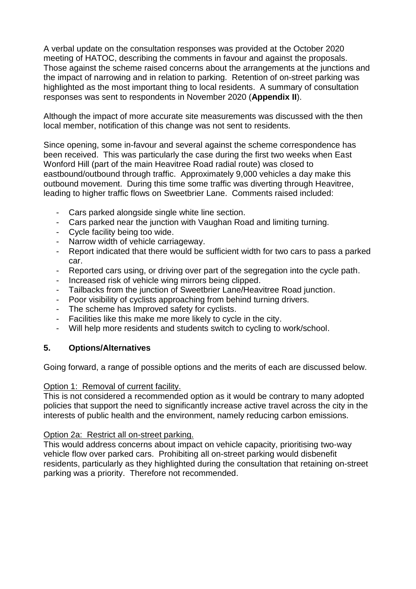A verbal update on the consultation responses was provided at the October 2020 meeting of HATOC, describing the comments in favour and against the proposals. Those against the scheme raised concerns about the arrangements at the junctions and the impact of narrowing and in relation to parking. Retention of on-street parking was highlighted as the most important thing to local residents. A summary of consultation responses was sent to respondents in November 2020 (**Appendix II**).

Although the impact of more accurate site measurements was discussed with the then local member, notification of this change was not sent to residents.

Since opening, some in-favour and several against the scheme correspondence has been received. This was particularly the case during the first two weeks when East Wonford Hill (part of the main Heavitree Road radial route) was closed to eastbound/outbound through traffic. Approximately 9,000 vehicles a day make this outbound movement. During this time some traffic was diverting through Heavitree, leading to higher traffic flows on Sweetbrier Lane. Comments raised included:

- Cars parked alongside single white line section.
- Cars parked near the junction with Vaughan Road and limiting turning.
- Cycle facility being too wide.
- Narrow width of vehicle carriageway.
- Report indicated that there would be sufficient width for two cars to pass a parked car.
- Reported cars using, or driving over part of the segregation into the cycle path.
- Increased risk of vehicle wing mirrors being clipped.
- Tailbacks from the junction of Sweetbrier Lane/Heavitree Road junction.
- Poor visibility of cyclists approaching from behind turning drivers.
- The scheme has Improved safety for cyclists.
- Facilities like this make me more likely to cycle in the city.
- Will help more residents and students switch to cycling to work/school.

# **5. Options/Alternatives**

Going forward, a range of possible options and the merits of each are discussed below.

### Option 1: Removal of current facility.

This is not considered a recommended option as it would be contrary to many adopted policies that support the need to significantly increase active travel across the city in the interests of public health and the environment, namely reducing carbon emissions.

### Option 2a: Restrict all on-street parking.

This would address concerns about impact on vehicle capacity, prioritising two-way vehicle flow over parked cars. Prohibiting all on-street parking would disbenefit residents, particularly as they highlighted during the consultation that retaining on-street parking was a priority. Therefore not recommended.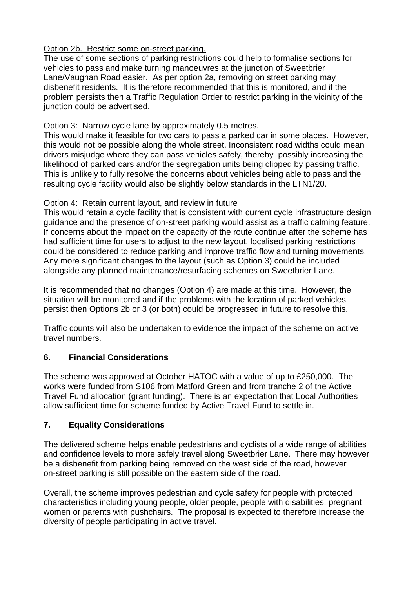# Option 2b. Restrict some on-street parking.

The use of some sections of parking restrictions could help to formalise sections for vehicles to pass and make turning manoeuvres at the junction of Sweetbrier Lane/Vaughan Road easier. As per option 2a, removing on street parking may disbenefit residents. It is therefore recommended that this is monitored, and if the problem persists then a Traffic Regulation Order to restrict parking in the vicinity of the junction could be advertised.

# Option 3: Narrow cycle lane by approximately 0.5 metres.

This would make it feasible for two cars to pass a parked car in some places. However, this would not be possible along the whole street. Inconsistent road widths could mean drivers misjudge where they can pass vehicles safely, thereby possibly increasing the likelihood of parked cars and/or the segregation units being clipped by passing traffic. This is unlikely to fully resolve the concerns about vehicles being able to pass and the resulting cycle facility would also be slightly below standards in the LTN1/20.

# Option 4: Retain current layout, and review in future

This would retain a cycle facility that is consistent with current cycle infrastructure design guidance and the presence of on-street parking would assist as a traffic calming feature. If concerns about the impact on the capacity of the route continue after the scheme has had sufficient time for users to adjust to the new layout, localised parking restrictions could be considered to reduce parking and improve traffic flow and turning movements. Any more significant changes to the layout (such as Option 3) could be included alongside any planned maintenance/resurfacing schemes on Sweetbrier Lane.

It is recommended that no changes (Option 4) are made at this time. However, the situation will be monitored and if the problems with the location of parked vehicles persist then Options 2b or 3 (or both) could be progressed in future to resolve this.

Traffic counts will also be undertaken to evidence the impact of the scheme on active travel numbers.

# **6**. **Financial Considerations**

The scheme was approved at October HATOC with a value of up to £250,000. The works were funded from S106 from Matford Green and from tranche 2 of the Active Travel Fund allocation (grant funding). There is an expectation that Local Authorities allow sufficient time for scheme funded by Active Travel Fund to settle in.

# **7. Equality Considerations**

The delivered scheme helps enable pedestrians and cyclists of a wide range of abilities and confidence levels to more safely travel along Sweetbrier Lane. There may however be a disbenefit from parking being removed on the west side of the road, however on-street parking is still possible on the eastern side of the road.

Overall, the scheme improves pedestrian and cycle safety for people with protected characteristics including young people, older people, people with disabilities, pregnant women or parents with pushchairs. The proposal is expected to therefore increase the diversity of people participating in active travel.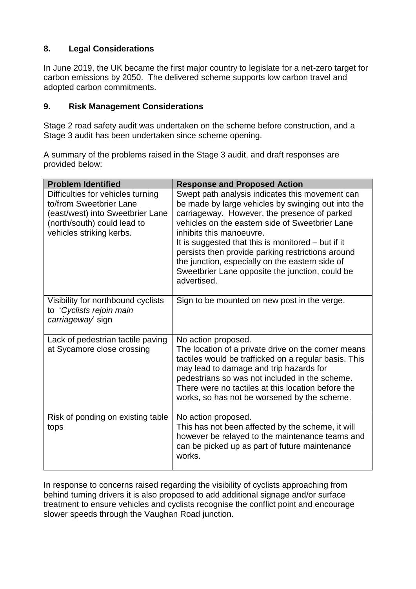# **8. Legal Considerations**

In June 2019, the UK became the first major country to legislate for a net-zero target for carbon emissions by 2050. The delivered scheme supports low carbon travel and adopted carbon commitments.

### **9. Risk Management Considerations**

Stage 2 road safety audit was undertaken on the scheme before construction, and a Stage 3 audit has been undertaken since scheme opening.

A summary of the problems raised in the Stage 3 audit, and draft responses are provided below:

| <b>Problem Identified</b>                                                                                                                                   | <b>Response and Proposed Action</b>                                                                                                                                                                                                                                                                                                                                                                                                                                    |
|-------------------------------------------------------------------------------------------------------------------------------------------------------------|------------------------------------------------------------------------------------------------------------------------------------------------------------------------------------------------------------------------------------------------------------------------------------------------------------------------------------------------------------------------------------------------------------------------------------------------------------------------|
| Difficulties for vehicles turning<br>to/from Sweetbrier Lane<br>(east/west) into Sweetbrier Lane<br>(north/south) could lead to<br>vehicles striking kerbs. | Swept path analysis indicates this movement can<br>be made by large vehicles by swinging out into the<br>carriageway. However, the presence of parked<br>vehicles on the eastern side of Sweetbrier Lane<br>inhibits this manoeuvre.<br>It is suggested that this is monitored $-$ but if it<br>persists then provide parking restrictions around<br>the junction, especially on the eastern side of<br>Sweetbrier Lane opposite the junction, could be<br>advertised. |
| Visibility for northbound cyclists<br>to 'Cyclists rejoin main<br>carriageway sign                                                                          | Sign to be mounted on new post in the verge.                                                                                                                                                                                                                                                                                                                                                                                                                           |
| Lack of pedestrian tactile paving<br>at Sycamore close crossing                                                                                             | No action proposed.<br>The location of a private drive on the corner means<br>tactiles would be trafficked on a regular basis. This<br>may lead to damage and trip hazards for<br>pedestrians so was not included in the scheme.<br>There were no tactiles at this location before the<br>works, so has not be worsened by the scheme.                                                                                                                                 |
| Risk of ponding on existing table<br>tops                                                                                                                   | No action proposed.<br>This has not been affected by the scheme, it will<br>however be relayed to the maintenance teams and<br>can be picked up as part of future maintenance<br>works.                                                                                                                                                                                                                                                                                |

In response to concerns raised regarding the visibility of cyclists approaching from behind turning drivers it is also proposed to add additional signage and/or surface treatment to ensure vehicles and cyclists recognise the conflict point and encourage slower speeds through the Vaughan Road junction.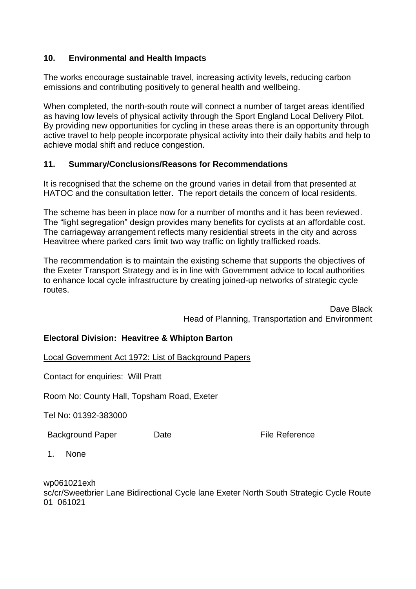### **10. Environmental and Health Impacts**

The works encourage sustainable travel, increasing activity levels, reducing carbon emissions and contributing positively to general health and wellbeing.

When completed, the north-south route will connect a number of target areas identified as having low levels of physical activity through the Sport England Local Delivery Pilot. By providing new opportunities for cycling in these areas there is an opportunity through active travel to help people incorporate physical activity into their daily habits and help to achieve modal shift and reduce congestion.

### **11. Summary/Conclusions/Reasons for Recommendations**

It is recognised that the scheme on the ground varies in detail from that presented at HATOC and the consultation letter. The report details the concern of local residents.

The scheme has been in place now for a number of months and it has been reviewed. The "light segregation" design provides many benefits for cyclists at an affordable cost. The carriageway arrangement reflects many residential streets in the city and across Heavitree where parked cars limit two way traffic on lightly trafficked roads.

The recommendation is to maintain the existing scheme that supports the objectives of the Exeter Transport Strategy and is in line with Government advice to local authorities to enhance local cycle infrastructure by creating joined-up networks of strategic cycle routes.

> Dave Black Head of Planning, Transportation and Environment

# **Electoral Division: Heavitree & Whipton Barton**

Local Government Act 1972: List of Background Papers

Contact for enquiries: Will Pratt

Room No: County Hall, Topsham Road, Exeter

Tel No: 01392-383000

Background Paper Date **Date Date** File Reference

1. None

wp061021exh sc/cr/Sweetbrier Lane Bidirectional Cycle lane Exeter North South Strategic Cycle Route 01 061021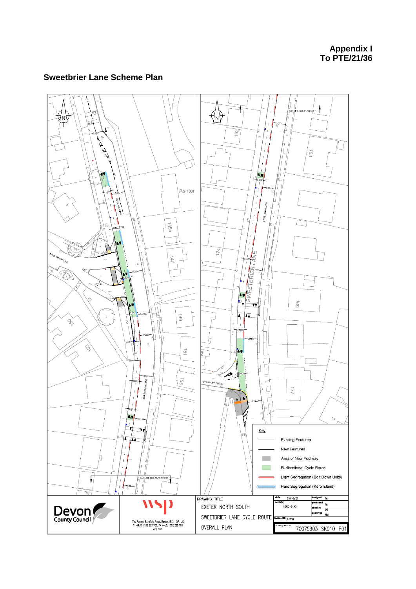**Appendix I** To PTE/21/36

### **Sweetbrier Lane Scheme Plan**

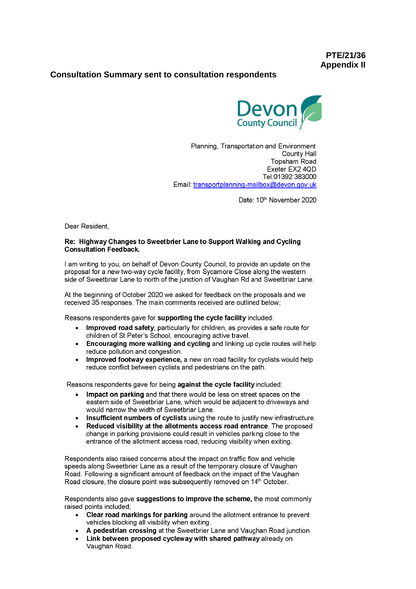PTE/21/36 **Appendix II** 

#### **Consultation Summary sent to consultation respondents**



Planning, Transportation and Environment County Hall Topsham Road Exeter EX2 4QD Tel:01392 383000 Email: transportplanning-mailbox@devon.gov.uk

Date: 10th November 2020

Dear Resident,

#### Re: Highway Changes to Sweetbrier Lane to Support Walking and Cycling **Consultation Feedback.**

I am writing to you, on behalf of Devon County Council, to provide an update on the proposal for a new two-way cycle facility, from Sycamore Close along the western side of Sweetbriar Lane to north of the junction of Vaughan Rd and Sweetbriar Lane.

At the beginning of October 2020 we asked for feedback on the proposals and we received 35 responses. The main comments received are outlined below;

Reasons respondents gave for supporting the cycle facility included:

- Improved road safety, particularly for children, as provides a safe route for children of St Peter's School, encouraging active travel.
- Encouraging more walking and cycling and linking up cycle routes will help reduce pollution and congestion.
- Improved footway experience, a new on road facility for cyclists would help  $\bullet$ reduce conflict between cyclists and pedestrians on the path.

Reasons respondents gave for being against the cycle facility included:

- Impact on parking and that there would be less on street spaces on the eastern side of Sweetbriar Lane, which would be adjacent to driveways and would narrow the width of Sweetbriar Lane.
- Insufficient numbers of cyclists using the route to justify new infrastructure.
- Reduced visibility at the allotments access road entrance. The proposed change in parking provisions could result in vehicles parking close to the entrance of the allotment access road, reducing visibility when exiting.

Respondents also raised concerns about the impact on traffic flow and vehicle speeds along Sweetbrier Lane as a result of the temporary closure of Vaughan Road. Following a significant amount of feedback on the impact of the Vaughan Road closure, the closure point was subsequently removed on 14<sup>th</sup> October.

Respondents also gave suggestions to improve the scheme, the most commonly raised points included;

- Clear road markings for parking around the allotment entrance to prevent vehicles blocking all visibility when exiting.
- A pedestrian crossing at the Sweetbrier Lane and Vaughan Road junction
- Link between proposed cycleway with shared pathway already on Vaughan Road.